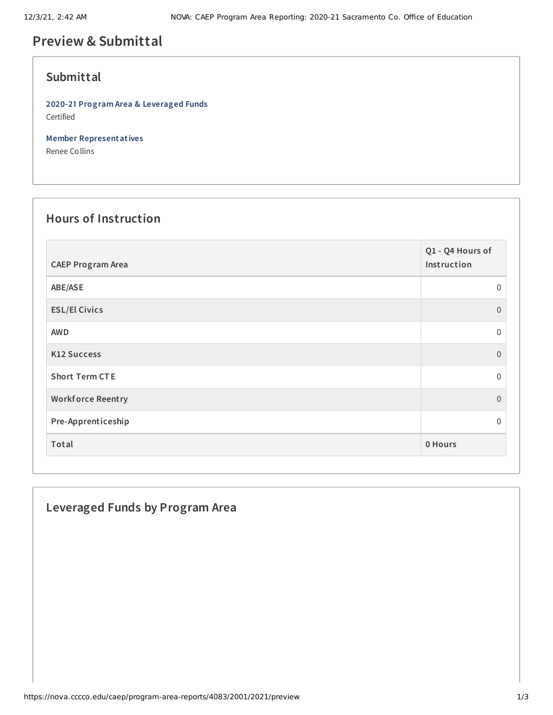# **Preview & Submittal**

#### **Submittal**

**2020-21 Program Area & Leveraged Funds** Certified

**Member Representatives**

Renee Collins

# **Hours of Instruction**

| <b>CAEP Program Area</b> | Q1 - Q4 Hours of<br>Instruction |
|--------------------------|---------------------------------|
| ABE/ASE                  | 0                               |
| <b>ESL/El Civics</b>     | $\mathbf{0}$                    |
| <b>AWD</b>               | 0                               |
| <b>K12 Success</b>       | $\overline{0}$                  |
| <b>Short Term CTE</b>    | $\mathbf 0$                     |
| <b>Workforce Reentry</b> | $\overline{0}$                  |
| Pre-Apprenticeship       | 0                               |
| Total                    | 0 Hours                         |

### **Leveraged Funds by Program Area**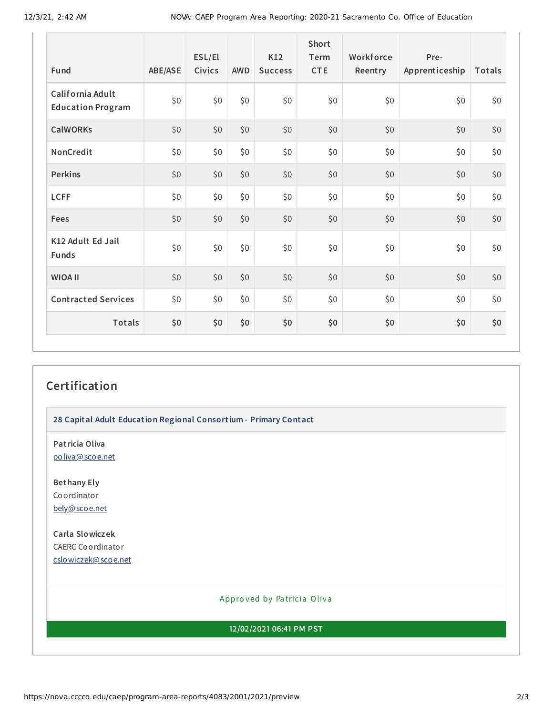| <b>Fund</b>                                  | ABE/ASE | ESL/El<br>Civics | <b>AWD</b> | K12<br><b>Success</b> | Short<br>Term<br><b>CTE</b> | Workforce<br>Reentry | Pre-<br>Apprenticeship | Totals |
|----------------------------------------------|---------|------------------|------------|-----------------------|-----------------------------|----------------------|------------------------|--------|
| California Adult<br><b>Education Program</b> | \$0     | \$0              | \$0        | \$0                   | \$0                         | \$0                  | \$0                    | \$0    |
| <b>CalWORKs</b>                              | \$0     | \$0              | \$0        | \$0                   | \$0                         | \$0                  | \$0                    | \$0    |
| NonCredit                                    | \$0\$   | \$0              | \$0        | \$0                   | \$0                         | \$0                  | \$0                    | \$0    |
| <b>Perkins</b>                               | \$0     | \$0              | \$0        | \$0                   | \$0                         | \$0                  | \$0                    | \$0    |
| <b>LCFF</b>                                  | \$0     | \$0              | \$0        | \$0                   | \$0                         | \$0                  | \$0                    | \$0    |
| <b>Fees</b>                                  | \$0     | \$0              | \$0        | \$0                   | \$0                         | \$0                  | \$0                    | \$0    |
| K12 Adult Ed Jail<br><b>Funds</b>            | \$0     | \$0              | \$0        | \$0                   | \$0                         | \$0                  | \$0                    | \$0    |
| <b>WIOA II</b>                               | \$0     | \$0              | \$0        | \$0                   | \$0                         | \$0                  | \$0                    | \$0    |
| <b>Contracted Services</b>                   | \$0     | \$0              | \$0        | \$0                   | \$0                         | \$0                  | \$0                    | \$0    |
| <b>Totals</b>                                | \$0     | \$0              | \$0        | \$0                   | \$0                         | \$0                  | \$0                    | \$0    |

# **Certification**

**28 Capital Adult Education Regional Consortium - Primary Contact**

**Patricia Oliva** [poliva@scoe.net](mailto:poliva@scoe.net)

**Bethany Ely** Coordinator [bely@scoe.net](mailto:bely@scoe.net)

**Carla Slowiczek** CAERC Coordinator [cslowiczek@scoe.net](mailto:cslowiczek@scoe.net)

#### Appro ved by Pa tricia Oliva

**12/02/2021 06:41 PM PST**